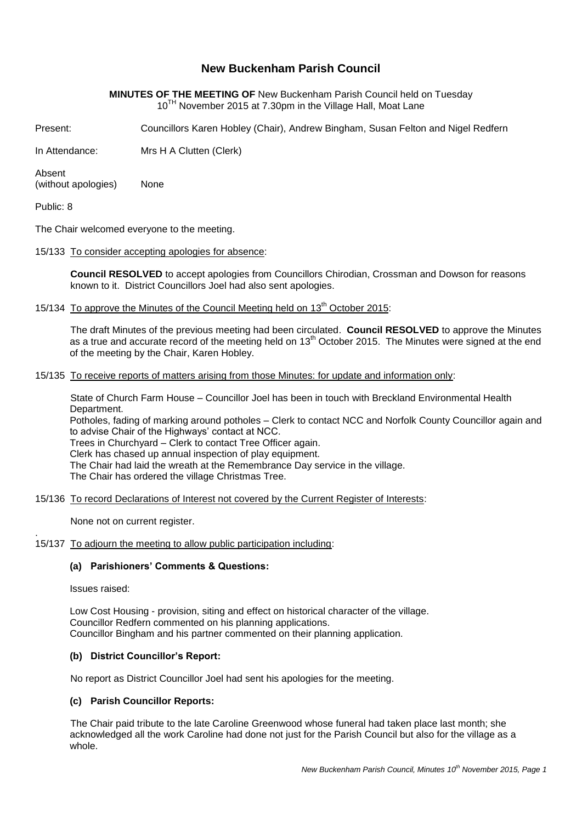# **New Buckenham Parish Council**

## **MINUTES OF THE MEETING OF** New Buckenham Parish Council held on Tuesday 10<sup>TH</sup> November 2015 at 7.30pm in the Village Hall, Moat Lane

Present: Councillors Karen Hobley (Chair), Andrew Bingham, Susan Felton and Nigel Redfern

In Attendance: Mrs H A Clutten (Clerk)

Absent (without apologies) None

Public: 8

The Chair welcomed everyone to the meeting.

15/133 To consider accepting apologies for absence:

**Council RESOLVED** to accept apologies from Councillors Chirodian, Crossman and Dowson for reasons known to it. District Councillors Joel had also sent apologies.

15/134 To approve the Minutes of the Council Meeting held on 13<sup>th</sup> October 2015:

The draft Minutes of the previous meeting had been circulated. **Council RESOLVED** to approve the Minutes as a true and accurate record of the meeting held on 13<sup>th</sup> October 2015. The Minutes were signed at the end of the meeting by the Chair, Karen Hobley.

15/135 To receive reports of matters arising from those Minutes: for update and information only:

State of Church Farm House – Councillor Joel has been in touch with Breckland Environmental Health Department.

Potholes, fading of marking around potholes – Clerk to contact NCC and Norfolk County Councillor again and to advise Chair of the Highways' contact at NCC.

Trees in Churchyard – Clerk to contact Tree Officer again.

Clerk has chased up annual inspection of play equipment.

The Chair had laid the wreath at the Remembrance Day service in the village.

The Chair has ordered the village Christmas Tree.

15/136 To record Declarations of Interest not covered by the Current Register of Interests:

None not on current register.

#### 15/137 To adjourn the meeting to allow public participation including:

#### **(a) Parishioners' Comments & Questions:**

Issues raised:

.

Low Cost Housing - provision, siting and effect on historical character of the village. Councillor Redfern commented on his planning applications. Councillor Bingham and his partner commented on their planning application.

# **(b) District Councillor's Report:**

No report as District Councillor Joel had sent his apologies for the meeting.

## **(c) Parish Councillor Reports:**

The Chair paid tribute to the late Caroline Greenwood whose funeral had taken place last month; she acknowledged all the work Caroline had done not just for the Parish Council but also for the village as a whole.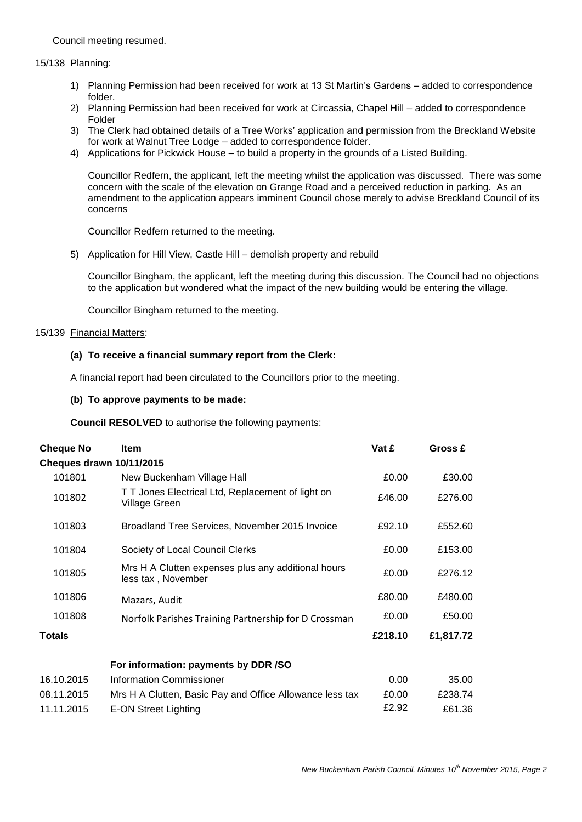Council meeting resumed.

#### 15/138 Planning:

- 1) Planning Permission had been received for work at 13 St Martin's Gardens added to correspondence folder.
- 2) Planning Permission had been received for work at Circassia, Chapel Hill added to correspondence Folder
- 3) The Clerk had obtained details of a Tree Works' application and permission from the Breckland Website for work at Walnut Tree Lodge – added to correspondence folder.
- 4) Applications for Pickwick House to build a property in the grounds of a Listed Building.

Councillor Redfern, the applicant, left the meeting whilst the application was discussed. There was some concern with the scale of the elevation on Grange Road and a perceived reduction in parking. As an amendment to the application appears imminent Council chose merely to advise Breckland Council of its concerns

Councillor Redfern returned to the meeting.

5) Application for Hill View, Castle Hill – demolish property and rebuild

Councillor Bingham, the applicant, left the meeting during this discussion. The Council had no objections to the application but wondered what the impact of the new building would be entering the village.

Councillor Bingham returned to the meeting.

#### 15/139 Financial Matters:

#### **(a) To receive a financial summary report from the Clerk:**

A financial report had been circulated to the Councillors prior to the meeting.

#### **(b) To approve payments to be made:**

**Council RESOLVED** to authorise the following payments:

| <b>Cheque No</b>                | <b>Item</b>                                                               | Vat £   | Gross £   |
|---------------------------------|---------------------------------------------------------------------------|---------|-----------|
| <b>Cheques drawn 10/11/2015</b> |                                                                           |         |           |
| 101801                          | New Buckenham Village Hall                                                | £0.00   | £30.00    |
| 101802                          | T T Jones Electrical Ltd, Replacement of light on<br><b>Village Green</b> | £46.00  | £276.00   |
| 101803                          | Broadland Tree Services, November 2015 Invoice                            | £92.10  | £552.60   |
| 101804                          | Society of Local Council Clerks                                           | £0.00   | £153.00   |
| 101805                          | Mrs H A Clutten expenses plus any additional hours<br>less tax, November  | £0.00   | £276.12   |
| 101806                          | Mazars, Audit                                                             | £80.00  | £480.00   |
| 101808                          | Norfolk Parishes Training Partnership for D Crossman                      | £0.00   | £50.00    |
| <b>Totals</b>                   |                                                                           | £218.10 | £1,817.72 |
|                                 | For information: payments by DDR /SO                                      |         |           |
| 16.10.2015                      | <b>Information Commissioner</b>                                           | 0.00    | 35.00     |
| 08.11.2015                      | Mrs H A Clutten, Basic Pay and Office Allowance less tax                  | £0.00   | £238.74   |
| 11.11.2015                      | <b>E-ON Street Lighting</b>                                               | £2.92   | £61.36    |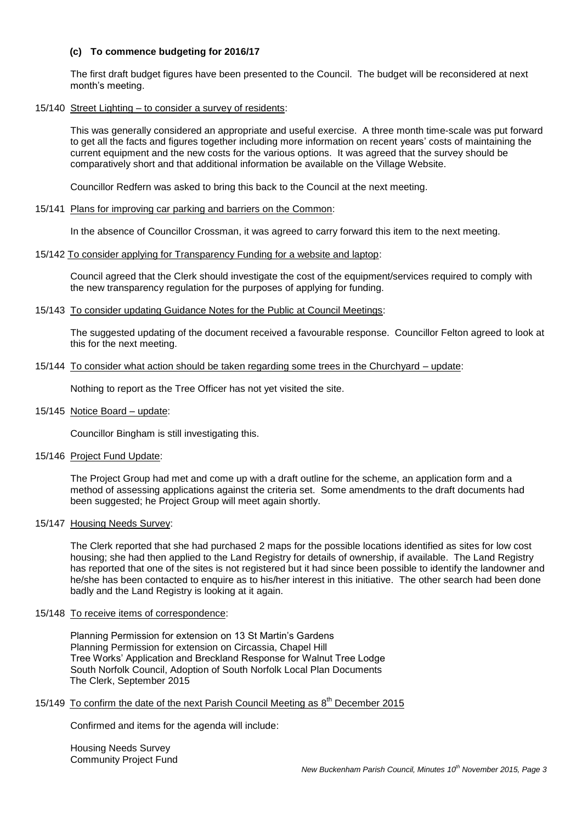# **(c) To commence budgeting for 2016/17**

The first draft budget figures have been presented to the Council. The budget will be reconsidered at next month's meeting.

#### 15/140 Street Lighting – to consider a survey of residents:

This was generally considered an appropriate and useful exercise. A three month time-scale was put forward to get all the facts and figures together including more information on recent years' costs of maintaining the current equipment and the new costs for the various options. It was agreed that the survey should be comparatively short and that additional information be available on the Village Website.

Councillor Redfern was asked to bring this back to the Council at the next meeting.

# 15/141 Plans for improving car parking and barriers on the Common:

In the absence of Councillor Crossman, it was agreed to carry forward this item to the next meeting.

#### 15/142 To consider applying for Transparency Funding for a website and laptop:

Council agreed that the Clerk should investigate the cost of the equipment/services required to comply with the new transparency regulation for the purposes of applying for funding.

15/143 To consider updating Guidance Notes for the Public at Council Meetings:

The suggested updating of the document received a favourable response. Councillor Felton agreed to look at this for the next meeting.

#### 15/144 To consider what action should be taken regarding some trees in the Churchyard – update:

Nothing to report as the Tree Officer has not yet visited the site.

15/145 Notice Board – update:

Councillor Bingham is still investigating this.

15/146 Project Fund Update:

The Project Group had met and come up with a draft outline for the scheme, an application form and a method of assessing applications against the criteria set. Some amendments to the draft documents had been suggested; he Project Group will meet again shortly.

15/147 Housing Needs Survey:

The Clerk reported that she had purchased 2 maps for the possible locations identified as sites for low cost housing; she had then applied to the Land Registry for details of ownership, if available. The Land Registry has reported that one of the sites is not registered but it had since been possible to identify the landowner and he/she has been contacted to enquire as to his/her interest in this initiative. The other search had been done badly and the Land Registry is looking at it again.

#### 15/148 To receive items of correspondence:

Planning Permission for extension on 13 St Martin's Gardens Planning Permission for extension on Circassia, Chapel Hill Tree Works' Application and Breckland Response for Walnut Tree Lodge South Norfolk Council, Adoption of South Norfolk Local Plan Documents The Clerk, September 2015

# 15/149 To confirm the date of the next Parish Council Meeting as 8<sup>th</sup> December 2015

Confirmed and items for the agenda will include:

Housing Needs Survey Community Project Fund